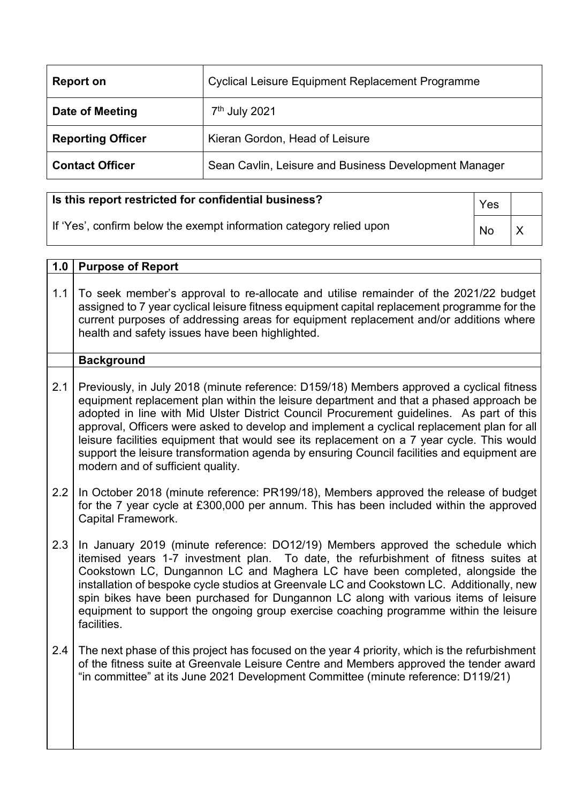| Report on                | <b>Cyclical Leisure Equipment Replacement Programme</b> |
|--------------------------|---------------------------------------------------------|
| Date of Meeting          | 7 <sup>th</sup> July 2021                               |
| <b>Reporting Officer</b> | Kieran Gordon, Head of Leisure                          |
| <b>Contact Officer</b>   | Sean Cavlin, Leisure and Business Development Manager   |

## **Is this report restricted for confidential business?**

|  |  |  | If 'Yes', confirm below the exempt information category relied upon |  |
|--|--|--|---------------------------------------------------------------------|--|
|  |  |  |                                                                     |  |

Yes  $\overline{N}$ 

| 1.0 | <b>Purpose of Report</b>                                                                                                                                                                                                                                                                                                                                                                                                                                                                                                                                                                                     |
|-----|--------------------------------------------------------------------------------------------------------------------------------------------------------------------------------------------------------------------------------------------------------------------------------------------------------------------------------------------------------------------------------------------------------------------------------------------------------------------------------------------------------------------------------------------------------------------------------------------------------------|
| 1.1 | To seek member's approval to re-allocate and utilise remainder of the 2021/22 budget<br>assigned to 7 year cyclical leisure fitness equipment capital replacement programme for the<br>current purposes of addressing areas for equipment replacement and/or additions where<br>health and safety issues have been highlighted.                                                                                                                                                                                                                                                                              |
|     | <b>Background</b>                                                                                                                                                                                                                                                                                                                                                                                                                                                                                                                                                                                            |
| 2.1 | Previously, in July 2018 (minute reference: D159/18) Members approved a cyclical fitness<br>equipment replacement plan within the leisure department and that a phased approach be<br>adopted in line with Mid Ulster District Council Procurement guidelines. As part of this<br>approval, Officers were asked to develop and implement a cyclical replacement plan for all<br>leisure facilities equipment that would see its replacement on a 7 year cycle. This would<br>support the leisure transformation agenda by ensuring Council facilities and equipment are<br>modern and of sufficient quality. |
| 2.2 | In October 2018 (minute reference: PR199/18), Members approved the release of budget<br>for the 7 year cycle at £300,000 per annum. This has been included within the approved<br>Capital Framework.                                                                                                                                                                                                                                                                                                                                                                                                         |
| 2.3 | In January 2019 (minute reference: DO12/19) Members approved the schedule which<br>itemised years 1-7 investment plan. To date, the refurbishment of fitness suites at<br>Cookstown LC, Dungannon LC and Maghera LC have been completed, alongside the<br>installation of bespoke cycle studios at Greenvale LC and Cookstown LC. Additionally, new<br>spin bikes have been purchased for Dungannon LC along with various items of leisure<br>equipment to support the ongoing group exercise coaching programme within the leisure<br>facilities.                                                           |
| 2.4 | The next phase of this project has focused on the year 4 priority, which is the refurbishment<br>of the fitness suite at Greenvale Leisure Centre and Members approved the tender award<br>"in committee" at its June 2021 Development Committee (minute reference: D119/21)                                                                                                                                                                                                                                                                                                                                 |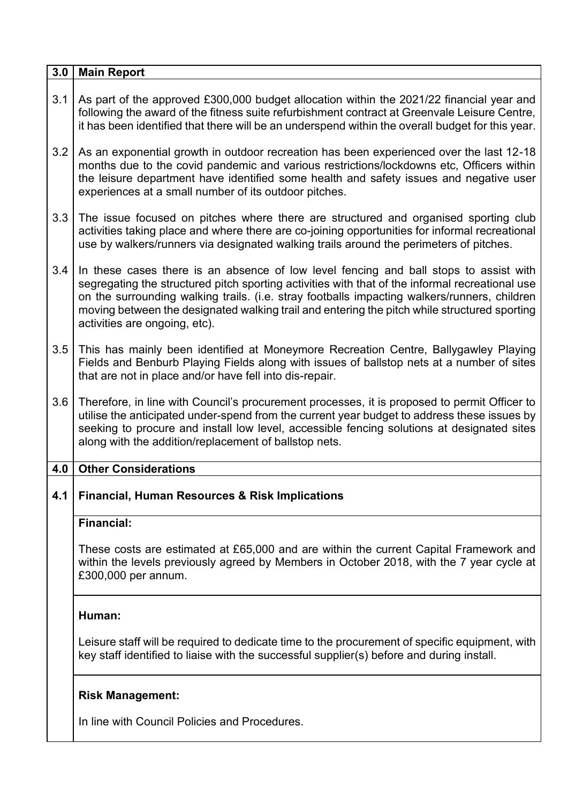| 3.0 | <b>Main Report</b>                                                                                                                                                                                                                                                                                                                                                                                                        |
|-----|---------------------------------------------------------------------------------------------------------------------------------------------------------------------------------------------------------------------------------------------------------------------------------------------------------------------------------------------------------------------------------------------------------------------------|
| 3.1 | As part of the approved £300,000 budget allocation within the 2021/22 financial year and<br>following the award of the fitness suite refurbishment contract at Greenvale Leisure Centre,<br>it has been identified that there will be an underspend within the overall budget for this year.                                                                                                                              |
| 3.2 | As an exponential growth in outdoor recreation has been experienced over the last 12-18<br>months due to the covid pandemic and various restrictions/lockdowns etc, Officers within<br>the leisure department have identified some health and safety issues and negative user<br>experiences at a small number of its outdoor pitches.                                                                                    |
| 3.3 | The issue focused on pitches where there are structured and organised sporting club<br>activities taking place and where there are co-joining opportunities for informal recreational<br>use by walkers/runners via designated walking trails around the perimeters of pitches.                                                                                                                                           |
| 3.4 | In these cases there is an absence of low level fencing and ball stops to assist with<br>segregating the structured pitch sporting activities with that of the informal recreational use<br>on the surrounding walking trails. (i.e. stray footballs impacting walkers/runners, children<br>moving between the designated walking trail and entering the pitch while structured sporting<br>activities are ongoing, etc). |
| 3.5 | This has mainly been identified at Moneymore Recreation Centre, Ballygawley Playing<br>Fields and Benburb Playing Fields along with issues of ballstop nets at a number of sites<br>that are not in place and/or have fell into dis-repair.                                                                                                                                                                               |
| 3.6 | Therefore, in line with Council's procurement processes, it is proposed to permit Officer to<br>utilise the anticipated under-spend from the current year budget to address these issues by<br>seeking to procure and install low level, accessible fencing solutions at designated sites<br>along with the addition/replacement of ballstop nets.                                                                        |
| 4.0 | <b>Other Considerations</b>                                                                                                                                                                                                                                                                                                                                                                                               |
|     | 4.1   Financial, Human Resources & Risk Implications                                                                                                                                                                                                                                                                                                                                                                      |
|     | <b>Financial:</b>                                                                                                                                                                                                                                                                                                                                                                                                         |
|     | These costs are estimated at £65,000 and are within the current Capital Framework and<br>within the levels previously agreed by Members in October 2018, with the 7 year cycle at<br>£300,000 per annum.                                                                                                                                                                                                                  |
|     | Human:                                                                                                                                                                                                                                                                                                                                                                                                                    |
|     | Leisure staff will be required to dedicate time to the procurement of specific equipment, with<br>key staff identified to liaise with the successful supplier(s) before and during install.                                                                                                                                                                                                                               |
|     | <b>Risk Management:</b>                                                                                                                                                                                                                                                                                                                                                                                                   |
|     | In line with Council Policies and Procedures.                                                                                                                                                                                                                                                                                                                                                                             |